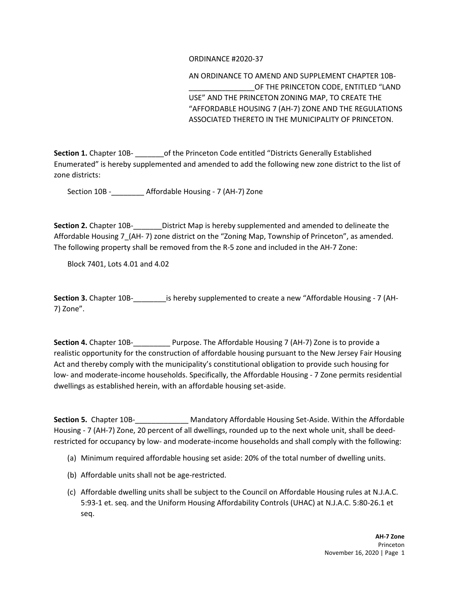## ORDINANCE #2020-37

AN ORDINANCE TO AMEND AND SUPPLEMENT CHAPTER 10B- OF THE PRINCETON CODE, ENTITLED "LAND USE" AND THE PRINCETON ZONING MAP, TO CREATE THE "AFFORDABLE HOUSING 7 (AH-7) ZONE AND THE REGULATIONS ASSOCIATED THERETO IN THE MUNICIPALITY OF PRINCETON.

**Section 1.** Chapter 10B- **of the Princeton Code entitled "Districts Generally Established** Enumerated" is hereby supplemented and amended to add the following new zone district to the list of zone districts:

Section 10B -\_\_\_\_\_\_\_\_ Affordable Housing - 7 (AH-7) Zone

**Section 2.** Chapter 10B-\_\_\_\_\_\_\_District Map is hereby supplemented and amended to delineate the Affordable Housing 7\_(AH- 7) zone district on the "Zoning Map, Township of Princeton", as amended. The following property shall be removed from the R-5 zone and included in the AH-7 Zone:

Block 7401, Lots 4.01 and 4.02

**Section 3.** Chapter 10B-<br>is hereby supplemented to create a new "Affordable Housing - 7 (AH-7) Zone".

**Section 4.** Chapter 10B-\_\_\_\_\_\_\_\_\_ Purpose. The Affordable Housing 7 (AH-7) Zone is to provide a realistic opportunity for the construction of affordable housing pursuant to the New Jersey Fair Housing Act and thereby comply with the municipality's constitutional obligation to provide such housing for low- and moderate-income households. Specifically, the Affordable Housing - 7 Zone permits residential dwellings as established herein, with an affordable housing set-aside.

**Section 5.** Chapter 10B-\_\_\_\_\_\_\_\_\_\_\_\_\_ Mandatory Affordable Housing Set-Aside. Within the Affordable Housing - 7 (AH-7) Zone, 20 percent of all dwellings, rounded up to the next whole unit, shall be deedrestricted for occupancy by low- and moderate-income households and shall comply with the following:

- (a) Minimum required affordable housing set aside: 20% of the total number of dwelling units.
- (b) Affordable units shall not be age-restricted.
- (c) Affordable dwelling units shall be subject to the Council on Affordable Housing rules at N.J.A.C. 5:93-1 et. seq. and the Uniform Housing Affordability Controls (UHAC) at N.J.A.C. 5:80-26.1 et seq.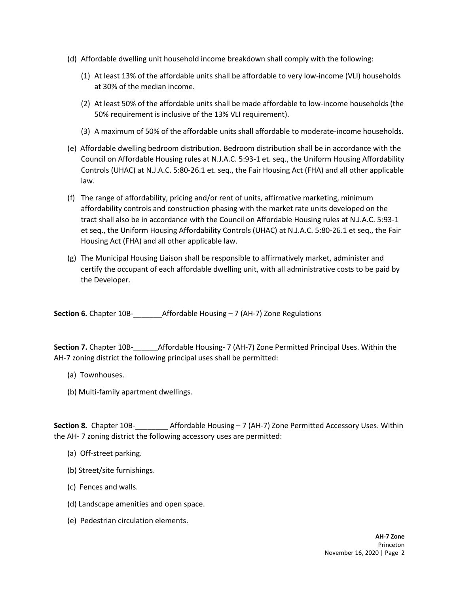- (d) Affordable dwelling unit household income breakdown shall comply with the following:
	- (1) At least 13% of the affordable units shall be affordable to very low-income (VLI) households at 30% of the median income.
	- (2) At least 50% of the affordable units shall be made affordable to low-income households (the 50% requirement is inclusive of the 13% VLI requirement).
	- (3) A maximum of 50% of the affordable units shall affordable to moderate-income households.
- (e) Affordable dwelling bedroom distribution. Bedroom distribution shall be in accordance with the Council on Affordable Housing rules at N.J.A.C. 5:93-1 et. seq., the Uniform Housing Affordability Controls (UHAC) at N.J.A.C. 5:80-26.1 et. seq., the Fair Housing Act (FHA) and all other applicable law.
- (f) The range of affordability, pricing and/or rent of units, affirmative marketing, minimum affordability controls and construction phasing with the market rate units developed on the tract shall also be in accordance with the Council on Affordable Housing rules at N.J.A.C. 5:93-1 et seq., the Uniform Housing Affordability Controls (UHAC) at N.J.A.C. 5:80-26.1 et seq., the Fair Housing Act (FHA) and all other applicable law.
- (g) The Municipal Housing Liaison shall be responsible to affirmatively market, administer and certify the occupant of each affordable dwelling unit, with all administrative costs to be paid by the Developer.

**Section 6.** Chapter 10B-\_\_\_\_\_\_\_Affordable Housing – 7 (AH-7) Zone Regulations

**Section 7.** Chapter 10B-\_\_\_\_\_\_Affordable Housing- 7 (AH-7) Zone Permitted Principal Uses. Within the AH-7 zoning district the following principal uses shall be permitted:

- (a) Townhouses.
- (b) Multi-family apartment dwellings.

**Section 8.** Chapter 10B-<br>Affordable Housing – 7 (AH-7) Zone Permitted Accessory Uses. Within the AH- 7 zoning district the following accessory uses are permitted:

- (a) Off-street parking.
- (b) Street/site furnishings.
- (c) Fences and walls.
- (d) Landscape amenities and open space.
- (e) Pedestrian circulation elements.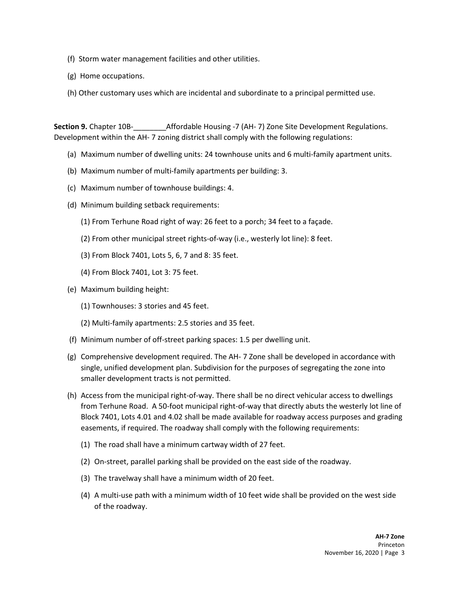- (f) Storm water management facilities and other utilities.
- (g) Home occupations.
- (h) Other customary uses which are incidental and subordinate to a principal permitted use.

**Section 9.** Chapter 10B-\_\_\_\_\_\_\_\_Affordable Housing -7 (AH- 7) Zone Site Development Regulations. Development within the AH- 7 zoning district shall comply with the following regulations:

- (a) Maximum number of dwelling units: 24 townhouse units and 6 multi-family apartment units.
- (b) Maximum number of multi-family apartments per building: 3.
- (c) Maximum number of townhouse buildings: 4.
- (d) Minimum building setback requirements:
	- (1) From Terhune Road right of way: 26 feet to a porch; 34 feet to a façade.
	- (2) From other municipal street rights-of-way (i.e., westerly lot line): 8 feet.
	- (3) From Block 7401, Lots 5, 6, 7 and 8: 35 feet.
	- (4) From Block 7401, Lot 3: 75 feet.
- (e) Maximum building height:
	- (1) Townhouses: 3 stories and 45 feet.
	- (2) Multi-family apartments: 2.5 stories and 35 feet.
- (f) Minimum number of off-street parking spaces: 1.5 per dwelling unit.
- (g) Comprehensive development required. The AH- 7 Zone shall be developed in accordance with single, unified development plan. Subdivision for the purposes of segregating the zone into smaller development tracts is not permitted.
- (h) Access from the municipal right-of-way. There shall be no direct vehicular access to dwellings from Terhune Road. A 50-foot municipal right-of-way that directly abuts the westerly lot line of Block 7401, Lots 4.01 and 4.02 shall be made available for roadway access purposes and grading easements, if required. The roadway shall comply with the following requirements:
	- (1) The road shall have a minimum cartway width of 27 feet.
	- (2) On-street, parallel parking shall be provided on the east side of the roadway.
	- (3) The travelway shall have a minimum width of 20 feet.
	- (4) A multi-use path with a minimum width of 10 feet wide shall be provided on the west side of the roadway.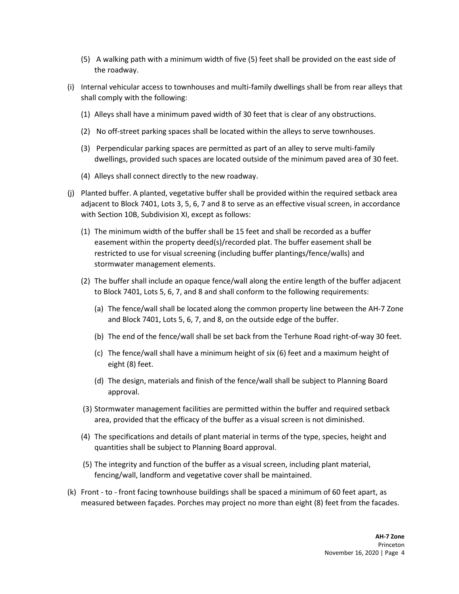- (5) A walking path with a minimum width of five (5) feet shall be provided on the east side of the roadway.
- (i) Internal vehicular access to townhouses and multi-family dwellings shall be from rear alleys that shall comply with the following:
	- (1) Alleys shall have a minimum paved width of 30 feet that is clear of any obstructions.
	- (2) No off-street parking spaces shall be located within the alleys to serve townhouses.
	- (3) Perpendicular parking spaces are permitted as part of an alley to serve multi-family dwellings, provided such spaces are located outside of the minimum paved area of 30 feet.
	- (4) Alleys shall connect directly to the new roadway.
- (j) Planted buffer. A planted, vegetative buffer shall be provided within the required setback area adjacent to Block 7401, Lots 3, 5, 6, 7 and 8 to serve as an effective visual screen, in accordance with Section 10B, Subdivision XI, except as follows:
	- (1) The minimum width of the buffer shall be 15 feet and shall be recorded as a buffer easement within the property deed(s)/recorded plat. The buffer easement shall be restricted to use for visual screening (including buffer plantings/fence/walls) and stormwater management elements.
	- (2) The buffer shall include an opaque fence/wall along the entire length of the buffer adjacent to Block 7401, Lots 5, 6, 7, and 8 and shall conform to the following requirements:
		- (a) The fence/wall shall be located along the common property line between the AH-7 Zone and Block 7401, Lots 5, 6, 7, and 8, on the outside edge of the buffer.
		- (b) The end of the fence/wall shall be set back from the Terhune Road right-of-way 30 feet.
		- (c) The fence/wall shall have a minimum height of six (6) feet and a maximum height of eight (8) feet.
		- (d) The design, materials and finish of the fence/wall shall be subject to Planning Board approval.
	- (3) Stormwater management facilities are permitted within the buffer and required setback area, provided that the efficacy of the buffer as a visual screen is not diminished.
	- (4) The specifications and details of plant material in terms of the type, species, height and quantities shall be subject to Planning Board approval.
	- (5) The integrity and function of the buffer as a visual screen, including plant material, fencing/wall, landform and vegetative cover shall be maintained.
- (k) Front to front facing townhouse buildings shall be spaced a minimum of 60 feet apart, as measured between façades. Porches may project no more than eight (8) feet from the facades.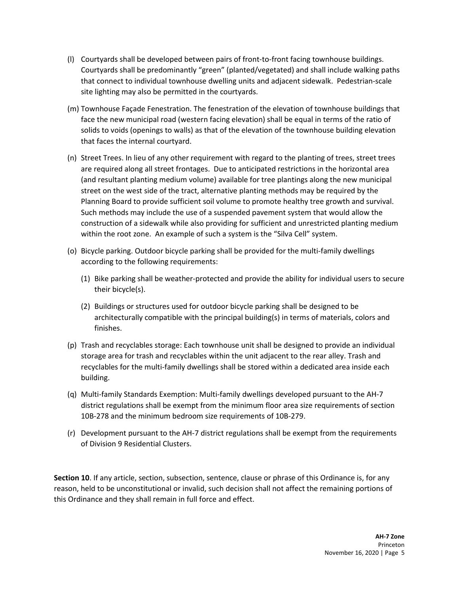- (l) Courtyards shall be developed between pairs of front-to-front facing townhouse buildings. Courtyards shall be predominantly "green" (planted/vegetated) and shall include walking paths that connect to individual townhouse dwelling units and adjacent sidewalk. Pedestrian-scale site lighting may also be permitted in the courtyards.
- (m) Townhouse Façade Fenestration. The fenestration of the elevation of townhouse buildings that face the new municipal road (western facing elevation) shall be equal in terms of the ratio of solids to voids (openings to walls) as that of the elevation of the townhouse building elevation that faces the internal courtyard.
- (n) Street Trees. In lieu of any other requirement with regard to the planting of trees, street trees are required along all street frontages. Due to anticipated restrictions in the horizontal area (and resultant planting medium volume) available for tree plantings along the new municipal street on the west side of the tract, alternative planting methods may be required by the Planning Board to provide sufficient soil volume to promote healthy tree growth and survival. Such methods may include the use of a suspended pavement system that would allow the construction of a sidewalk while also providing for sufficient and unrestricted planting medium within the root zone. An example of such a system is the "Silva Cell" system.
- (o) Bicycle parking. Outdoor bicycle parking shall be provided for the multi-family dwellings according to the following requirements:
	- (1) Bike parking shall be weather-protected and provide the ability for individual users to secure their bicycle(s).
	- (2) Buildings or structures used for outdoor bicycle parking shall be designed to be architecturally compatible with the principal building(s) in terms of materials, colors and finishes.
- (p) Trash and recyclables storage: Each townhouse unit shall be designed to provide an individual storage area for trash and recyclables within the unit adjacent to the rear alley. Trash and recyclables for the multi-family dwellings shall be stored within a dedicated area inside each building.
- (q) Multi-family Standards Exemption: Multi-family dwellings developed pursuant to the AH-7 district regulations shall be exempt from the minimum floor area size requirements of section 10B-278 and the minimum bedroom size requirements of 10B-279.
- (r) Development pursuant to the AH-7 district regulations shall be exempt from the requirements of Division 9 Residential Clusters.

**Section 10**. If any article, section, subsection, sentence, clause or phrase of this Ordinance is, for any reason, held to be unconstitutional or invalid, such decision shall not affect the remaining portions of this Ordinance and they shall remain in full force and effect.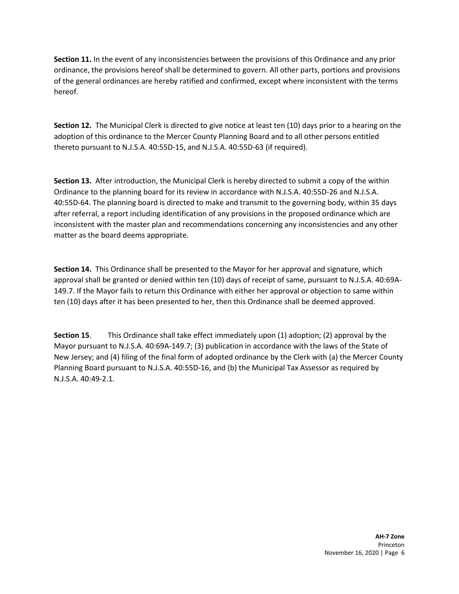**Section 11.** In the event of any inconsistencies between the provisions of this Ordinance and any prior ordinance, the provisions hereof shall be determined to govern. All other parts, portions and provisions of the general ordinances are hereby ratified and confirmed, except where inconsistent with the terms hereof.

**Section 12.** The Municipal Clerk is directed to give notice at least ten (10) days prior to a hearing on the adoption of this ordinance to the Mercer County Planning Board and to all other persons entitled thereto pursuant to N.J.S.A. 40:55D-15, and N.J.S.A. 40:55D-63 (if required).

**Section 13.** After introduction, the Municipal Clerk is hereby directed to submit a copy of the within Ordinance to the planning board for its review in accordance with N.J.S.A. 40:55D-26 and N.J.S.A. 40:55D-64. The planning board is directed to make and transmit to the governing body, within 35 days after referral, a report including identification of any provisions in the proposed ordinance which are inconsistent with the master plan and recommendations concerning any inconsistencies and any other matter as the board deems appropriate.

**Section 14.** This Ordinance shall be presented to the Mayor for her approval and signature, which approval shall be granted or denied within ten (10) days of receipt of same, pursuant to N.J.S.A. 40:69A-149.7. If the Mayor fails to return this Ordinance with either her approval or objection to same within ten (10) days after it has been presented to her, then this Ordinance shall be deemed approved.

**Section 15.** This Ordinance shall take effect immediately upon (1) adoption; (2) approval by the Mayor pursuant to N.J.S.A. 40:69A-149.7; (3) publication in accordance with the laws of the State of New Jersey; and (4) filing of the final form of adopted ordinance by the Clerk with (a) the Mercer County Planning Board pursuant to N.J.S.A. 40:55D-16, and (b) the Municipal Tax Assessor as required by N.J.S.A. 40:49-2.1.